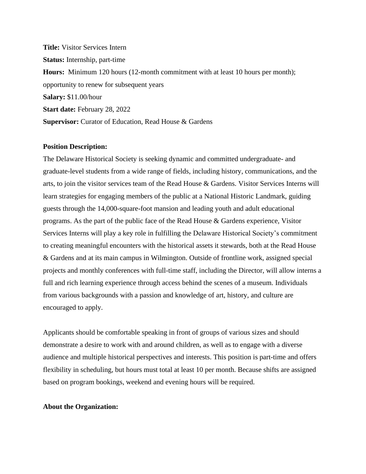**Title:** Visitor Services Intern **Status:** Internship, part-time **Hours:** Minimum 120 hours (12-month commitment with at least 10 hours per month); opportunity to renew for subsequent years **Salary:** \$11.00/hour **Start date:** February 28, 2022 **Supervisor:** Curator of Education, Read House & Gardens

## **Position Description:**

The Delaware Historical Society is seeking dynamic and committed undergraduate- and graduate-level students from a wide range of fields, including history, communications, and the arts, to join the visitor services team of the Read House & Gardens. Visitor Services Interns will learn strategies for engaging members of the public at a National Historic Landmark, guiding guests through the 14,000-square-foot mansion and leading youth and adult educational programs. As the part of the public face of the Read House & Gardens experience, Visitor Services Interns will play a key role in fulfilling the Delaware Historical Society's commitment to creating meaningful encounters with the historical assets it stewards, both at the Read House & Gardens and at its main campus in Wilmington. Outside of frontline work, assigned special projects and monthly conferences with full-time staff, including the Director, will allow interns a full and rich learning experience through access behind the scenes of a museum. Individuals from various backgrounds with a passion and knowledge of art, history, and culture are encouraged to apply.

Applicants should be comfortable speaking in front of groups of various sizes and should demonstrate a desire to work with and around children, as well as to engage with a diverse audience and multiple historical perspectives and interests. This position is part-time and offers flexibility in scheduling, but hours must total at least 10 per month. Because shifts are assigned based on program bookings, weekend and evening hours will be required.

### **About the Organization:**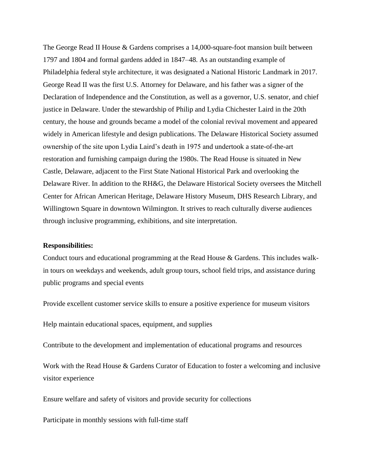The George Read II House & Gardens comprises a 14,000-square-foot mansion built between 1797 and 1804 and formal gardens added in 1847–48. As an outstanding example of Philadelphia federal style architecture, it was designated a National Historic Landmark in 2017. George Read II was the first U.S. Attorney for Delaware, and his father was a signer of the Declaration of Independence and the Constitution, as well as a governor, U.S. senator, and chief justice in Delaware. Under the stewardship of Philip and Lydia Chichester Laird in the 20th century, the house and grounds became a model of the colonial revival movement and appeared widely in American lifestyle and design publications. The Delaware Historical Society assumed ownership of the site upon Lydia Laird's death in 1975 and undertook a state-of-the-art restoration and furnishing campaign during the 1980s. The Read House is situated in New Castle, Delaware, adjacent to the First State National Historical Park and overlooking the Delaware River. In addition to the RH&G, the Delaware Historical Society oversees the Mitchell Center for African American Heritage, Delaware History Museum, DHS Research Library, and Willingtown Square in downtown Wilmington. It strives to reach culturally diverse audiences through inclusive programming, exhibitions, and site interpretation.

#### **Responsibilities:**

Conduct tours and educational programming at the Read House & Gardens. This includes walkin tours on weekdays and weekends, adult group tours, school field trips, and assistance during public programs and special events

Provide excellent customer service skills to ensure a positive experience for museum visitors

Help maintain educational spaces, equipment, and supplies

Contribute to the development and implementation of educational programs and resources

Work with the Read House & Gardens Curator of Education to foster a welcoming and inclusive visitor experience

Ensure welfare and safety of visitors and provide security for collections

Participate in monthly sessions with full-time staff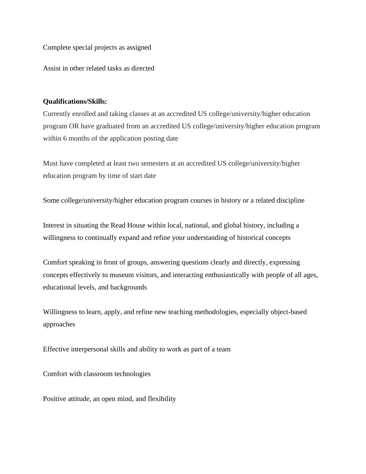Complete special projects as assigned

Assist in other related tasks as directed

# **Qualifications/Skills:**

Currently enrolled and taking classes at an accredited US college/university/higher education program OR have graduated from an accredited US college/university/higher education program within 6 months of the application posting date

Must have completed at least two semesters at an accredited US college/university/higher education program by time of start date

Some college/university/higher education program courses in history or a related discipline

Interest in situating the Read House within local, national, and global history, including a willingness to continually expand and refine your understanding of historical concepts

Comfort speaking in front of groups, answering questions clearly and directly, expressing concepts effectively to museum visitors, and interacting enthusiastically with people of all ages, educational levels, and backgrounds

Willingness to learn, apply, and refine new teaching methodologies, especially object-based approaches

Effective interpersonal skills and ability to work as part of a team

Comfort with classroom technologies

Positive attitude, an open mind, and flexibility